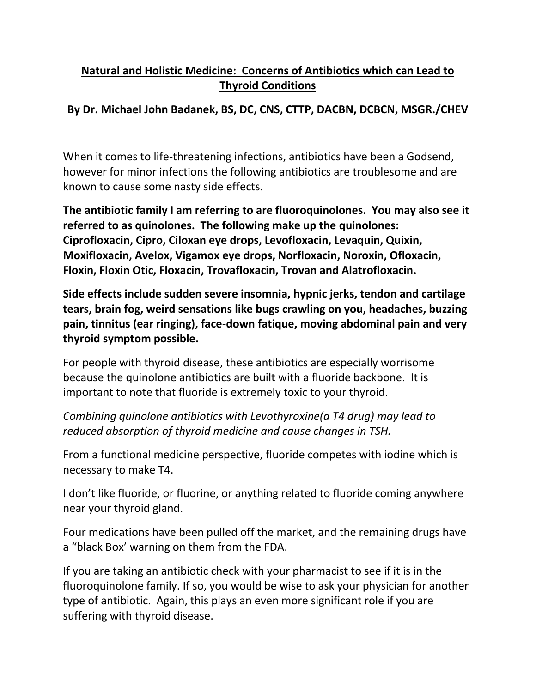## **Natural and Holistic Medicine: Concerns of Antibiotics which can Lead to Thyroid Conditions**

## **By Dr. Michael John Badanek, BS, DC, CNS, CTTP, DACBN, DCBCN, MSGR./CHEV**

When it comes to life-threatening infections, antibiotics have been a Godsend, however for minor infections the following antibiotics are troublesome and are known to cause some nasty side effects.

**The antibiotic family I am referring to are fluoroquinolones. You may also see it referred to as quinolones. The following make up the quinolones: Ciprofloxacin, Cipro, Ciloxan eye drops, Levofloxacin, Levaquin, Quixin, Moxifloxacin, Avelox, Vigamox eye drops, Norfloxacin, Noroxin, Ofloxacin, Floxin, Floxin Otic, Floxacin, Trovafloxacin, Trovan and Alatrofloxacin.**

**Side effects include sudden severe insomnia, hypnic jerks, tendon and cartilage tears, brain fog, weird sensations like bugs crawling on you, headaches, buzzing pain, tinnitus (ear ringing), face-down fatique, moving abdominal pain and very thyroid symptom possible.**

For people with thyroid disease, these antibiotics are especially worrisome because the quinolone antibiotics are built with a fluoride backbone. It is important to note that fluoride is extremely toxic to your thyroid.

*Combining quinolone antibiotics with Levothyroxine(a T4 drug) may lead to reduced absorption of thyroid medicine and cause changes in TSH.*

From a functional medicine perspective, fluoride competes with iodine which is necessary to make T4.

I don't like fluoride, or fluorine, or anything related to fluoride coming anywhere near your thyroid gland.

Four medications have been pulled off the market, and the remaining drugs have a "black Box' warning on them from the FDA.

If you are taking an antibiotic check with your pharmacist to see if it is in the fluoroquinolone family. If so, you would be wise to ask your physician for another type of antibiotic. Again, this plays an even more significant role if you are suffering with thyroid disease.